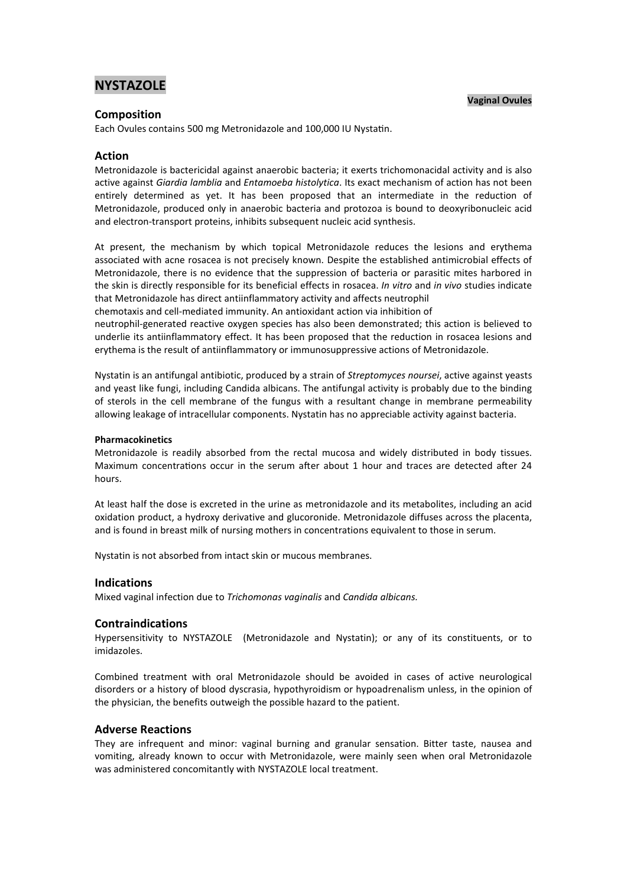# **NYSTAZOLE**

### **Vaginal Ovules**

## **Composition**

Each Ovules contains 500 mg Metronidazole and 100,000 IU Nystatin.

## **Action**

Metronidazole is bactericidal against anaerobic bacteria; it exerts trichomonacidal activity and is also active against *Giardia lamblia* and *Entamoeba histolytica*. Its exact mechanism of action has not been entirely determined as yet. It has been proposed that an intermediate in the reduction of Metronidazole, produced only in anaerobic bacteria and protozoa is bound to deoxyribonucleic acid and electron-transport proteins, inhibits subsequent nucleic acid synthesis.

At present, the mechanism by which topical Metronidazole reduces the lesions and erythema associated with acne rosacea is not precisely known. Despite the established antimicrobial effects of Metronidazole, there is no evidence that the suppression of bacteria or parasitic mites harbored in the skin is directly responsible for its beneficial effects in rosacea. *In vitro* and *in vivo* studies indicate that Metronidazole has direct antiinflammatory activity and affects neutrophil

chemotaxis and cell-mediated immunity. An antioxidant action via inhibition of

neutrophil-generated reactive oxygen species has also been demonstrated; this action is believed to underlie its antiinflammatory effect. It has been proposed that the reduction in rosacea lesions and erythema is the result of antiinflammatory or immunosuppressive actions of Metronidazole.

Nystatin is an antifungal antibiotic, produced by a strain of *Streptomyces noursei*, active against yeasts and yeast like fungi, including Candida albicans. The antifungal activity is probably due to the binding of sterols in the cell membrane of the fungus with a resultant change in membrane permeability allowing leakage of intracellular components. Nystatin has no appreciable activity against bacteria.

### **Pharmacokinetics**

Metronidazole is readily absorbed from the rectal mucosa and widely distributed in body tissues. Maximum concentrations occur in the serum after about 1 hour and traces are detected after 24 hours.

At least half the dose is excreted in the urine as metronidazole and its metabolites, including an acid oxidation product, a hydroxy derivative and glucoronide. Metronidazole diffuses across the placenta, and is found in breast milk of nursing mothers in concentrations equivalent to those in serum.

Nystatin is not absorbed from intact skin or mucous membranes.

## **Indications**

Mixed vaginal infection due to *Trichomonas vaginalis* and *Candida albicans.*

## **Contraindications**

Hypersensitivity to NYSTAZOLE (Metronidazole and Nystatin); or any of its constituents, or to imidazoles.

Combined treatment with oral Metronidazole should be avoided in cases of active neurological disorders or a history of blood dyscrasia, hypothyroidism or hypoadrenalism unless, in the opinion of the physician, the benefits outweigh the possible hazard to the patient.

### **Adverse Reactions**

They are infrequent and minor: vaginal burning and granular sensation. Bitter taste, nausea and vomiting, already known to occur with Metronidazole, were mainly seen when oral Metronidazole was administered concomitantly with NYSTAZOLE local treatment.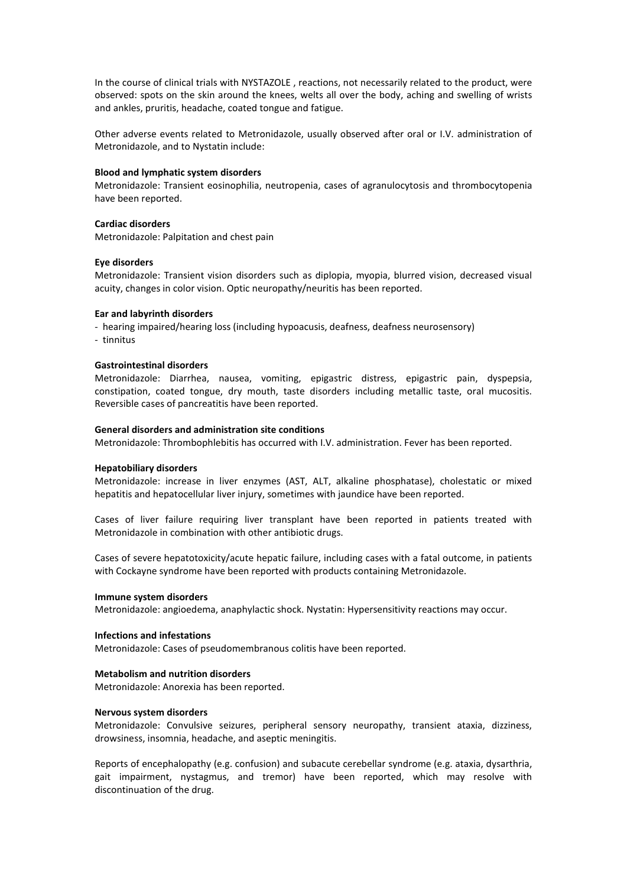In the course of clinical trials with NYSTAZOLE , reactions, not necessarily related to the product, were observed: spots on the skin around the knees, welts all over the body, aching and swelling of wrists and ankles, pruritis, headache, coated tongue and fatigue.

Other adverse events related to Metronidazole, usually observed after oral or I.V. administration of Metronidazole, and to Nystatin include:

## **Blood and lymphatic system disorders**

Metronidazole: Transient eosinophilia, neutropenia, cases of agranulocytosis and thrombocytopenia have been reported.

## **Cardiac disorders**

Metronidazole: Palpitation and chest pain

#### **Eye disorders**

Metronidazole: Transient vision disorders such as diplopia, myopia, blurred vision, decreased visual acuity, changes in color vision. Optic neuropathy/neuritis has been reported.

### **Ear and labyrinth disorders**

- hearing impaired/hearing loss (including hypoacusis, deafness, deafness neurosensory) - tinnitus

## **Gastrointestinal disorders**

Metronidazole: Diarrhea, nausea, vomiting, epigastric distress, epigastric pain, dyspepsia, constipation, coated tongue, dry mouth, taste disorders including metallic taste, oral mucositis. Reversible cases of pancreatitis have been reported.

#### **General disorders and administration site conditions**

Metronidazole: Thrombophlebitis has occurred with I.V. administration. Fever has been reported.

#### **Hepatobiliary disorders**

Metronidazole: increase in liver enzymes (AST, ALT, alkaline phosphatase), cholestatic or mixed hepatitis and hepatocellular liver injury, sometimes with jaundice have been reported.

Cases of liver failure requiring liver transplant have been reported in patients treated with Metronidazole in combination with other antibiotic drugs.

Cases of severe hepatotoxicity/acute hepatic failure, including cases with a fatal outcome, in patients with Cockayne syndrome have been reported with products containing Metronidazole.

#### **Immune system disorders**

Metronidazole: angioedema, anaphylactic shock. Nystatin: Hypersensitivity reactions may occur.

#### **Infections and infestations**

Metronidazole: Cases of pseudomembranous colitis have been reported.

## **Metabolism and nutrition disorders**

Metronidazole: Anorexia has been reported.

#### **Nervous system disorders**

Metronidazole: Convulsive seizures, peripheral sensory neuropathy, transient ataxia, dizziness, drowsiness, insomnia, headache, and aseptic meningitis.

Reports of encephalopathy (e.g. confusion) and subacute cerebellar syndrome (e.g. ataxia, dysarthria, gait impairment, nystagmus, and tremor) have been reported, which may resolve with discontinuation of the drug.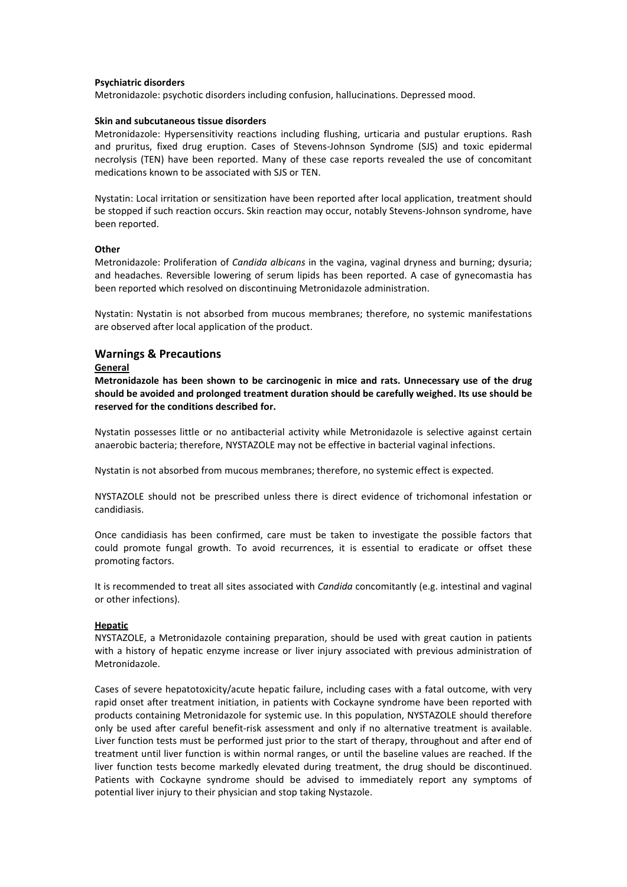#### **Psychiatric disorders**

Metronidazole: psychotic disorders including confusion, hallucinations. Depressed mood.

#### **Skin and subcutaneous tissue disorders**

Metronidazole: Hypersensitivity reactions including flushing, urticaria and pustular eruptions. Rash and pruritus, fixed drug eruption. Cases of Stevens-Johnson Syndrome (SJS) and toxic epidermal necrolysis (TEN) have been reported. Many of these case reports revealed the use of concomitant medications known to be associated with SJS or TEN.

Nystatin: Local irritation or sensitization have been reported after local application, treatment should be stopped if such reaction occurs. Skin reaction may occur, notably Stevens-Johnson syndrome, have been reported.

## **Other**

Metronidazole: Proliferation of *Candida albicans* in the vagina, vaginal dryness and burning; dysuria; and headaches. Reversible lowering of serum lipids has been reported. A case of gynecomastia has been reported which resolved on discontinuing Metronidazole administration.

Nystatin: Nystatin is not absorbed from mucous membranes; therefore, no systemic manifestations are observed after local application of the product.

## **Warnings & Precautions**

#### **General**

**Metronidazole has been shown to be carcinogenic in mice and rats. Unnecessary use of the drug should be avoided and prolonged treatment duration should be carefully weighed. Its use should be reserved for the conditions described for.**

Nystatin possesses little or no antibacterial activity while Metronidazole is selective against certain anaerobic bacteria; therefore, NYSTAZOLE may not be effective in bacterial vaginal infections.

Nystatin is not absorbed from mucous membranes; therefore, no systemic effect is expected.

NYSTAZOLE should not be prescribed unless there is direct evidence of trichomonal infestation or candidiasis.

Once candidiasis has been confirmed, care must be taken to investigate the possible factors that could promote fungal growth. To avoid recurrences, it is essential to eradicate or offset these promoting factors.

It is recommended to treat all sites associated with *Candida* concomitantly (e.g. intestinal and vaginal or other infections).

#### **Hepatic**

NYSTAZOLE, a Metronidazole containing preparation, should be used with great caution in patients with a history of hepatic enzyme increase or liver injury associated with previous administration of Metronidazole.

Cases of severe hepatotoxicity/acute hepatic failure, including cases with a fatal outcome, with very rapid onset after treatment initiation, in patients with Cockayne syndrome have been reported with products containing Metronidazole for systemic use. In this population, NYSTAZOLE should therefore only be used after careful benefit-risk assessment and only if no alternative treatment is available. Liver function tests must be performed just prior to the start of therapy, throughout and after end of treatment until liver function is within normal ranges, or until the baseline values are reached. If the liver function tests become markedly elevated during treatment, the drug should be discontinued. Patients with Cockayne syndrome should be advised to immediately report any symptoms of potential liver injury to their physician and stop taking Nystazole.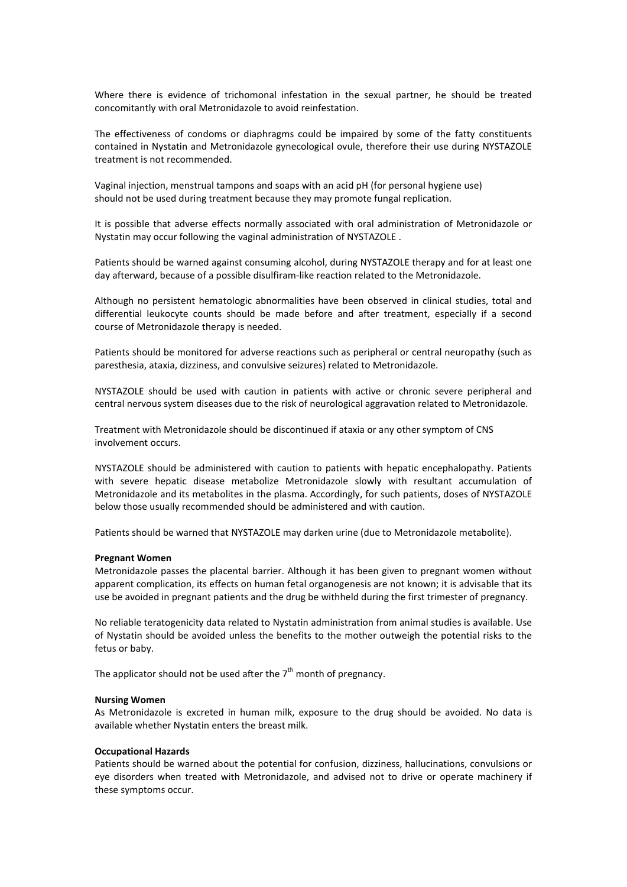Where there is evidence of trichomonal infestation in the sexual partner, he should be treated concomitantly with oral Metronidazole to avoid reinfestation.

The effectiveness of condoms or diaphragms could be impaired by some of the fatty constituents contained in Nystatin and Metronidazole gynecological ovule, therefore their use during NYSTAZOLE treatment is not recommended.

Vaginal injection, menstrual tampons and soaps with an acid pH (for personal hygiene use) should not be used during treatment because they may promote fungal replication.

It is possible that adverse effects normally associated with oral administration of Metronidazole or Nystatin may occur following the vaginal administration of NYSTAZOLE .

Patients should be warned against consuming alcohol, during NYSTAZOLE therapy and for at least one day afterward, because of a possible disulfiram-like reaction related to the Metronidazole.

Although no persistent hematologic abnormalities have been observed in clinical studies, total and differential leukocyte counts should be made before and after treatment, especially if a second course of Metronidazole therapy is needed.

Patients should be monitored for adverse reactions such as peripheral or central neuropathy (such as paresthesia, ataxia, dizziness, and convulsive seizures) related to Metronidazole.

NYSTAZOLE should be used with caution in patients with active or chronic severe peripheral and central nervous system diseases due to the risk of neurological aggravation related to Metronidazole.

Treatment with Metronidazole should be discontinued if ataxia or any other symptom of CNS involvement occurs.

NYSTAZOLE should be administered with caution to patients with hepatic encephalopathy. Patients with severe hepatic disease metabolize Metronidazole slowly with resultant accumulation of Metronidazole and its metabolites in the plasma. Accordingly, for such patients, doses of NYSTAZOLE below those usually recommended should be administered and with caution.

Patients should be warned that NYSTAZOLE may darken urine (due to Metronidazole metabolite).

#### **Pregnant Women**

Metronidazole passes the placental barrier. Although it has been given to pregnant women without apparent complication, its effects on human fetal organogenesis are not known; it is advisable that its use be avoided in pregnant patients and the drug be withheld during the first trimester of pregnancy.

No reliable teratogenicity data related to Nystatin administration from animal studies is available. Use of Nystatin should be avoided unless the benefits to the mother outweigh the potential risks to the fetus or baby.

The applicator should not be used after the  $7<sup>th</sup>$  month of pregnancy.

#### **Nursing Women**

As Metronidazole is excreted in human milk, exposure to the drug should be avoided. No data is available whether Nystatin enters the breast milk.

#### **Occupational Hazards**

Patients should be warned about the potential for confusion, dizziness, hallucinations, convulsions or eye disorders when treated with Metronidazole, and advised not to drive or operate machinery if these symptoms occur.